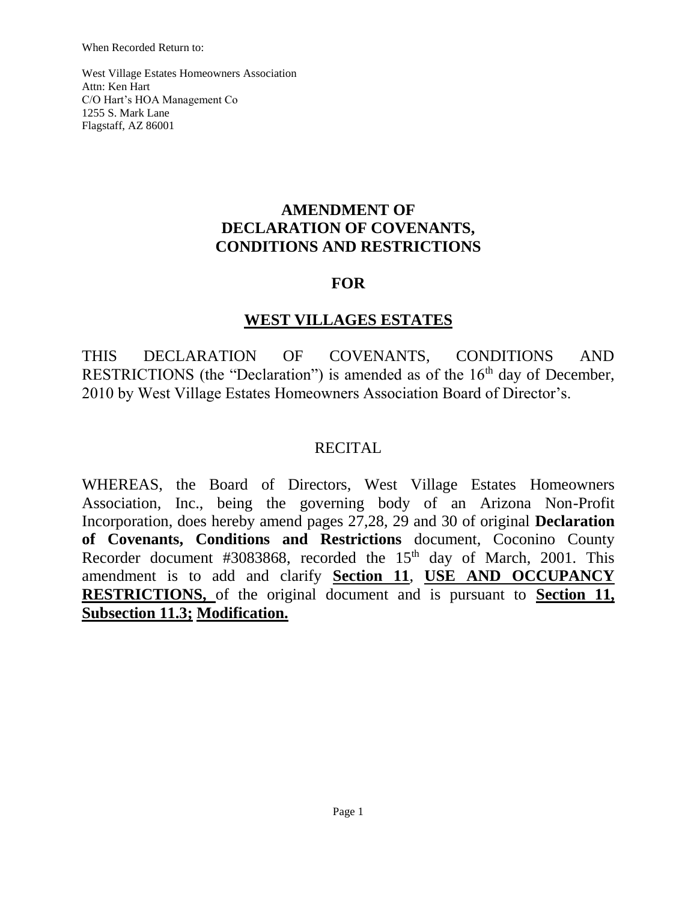When Recorded Return to:

West Village Estates Homeowners Association Attn: Ken Hart C/O Hart's HOA Management Co 1255 S. Mark Lane Flagstaff, AZ 86001

# **AMENDMENT OF DECLARATION OF COVENANTS, CONDITIONS AND RESTRICTIONS**

# **FOR**

### **WEST VILLAGES ESTATES**

THIS DECLARATION OF COVENANTS, CONDITIONS AND RESTRICTIONS (the "Declaration") is amended as of the  $16<sup>th</sup>$  day of December, 2010 by West Village Estates Homeowners Association Board of Director's.

## RECITAL

WHEREAS, the Board of Directors, West Village Estates Homeowners Association, Inc., being the governing body of an Arizona Non-Profit Incorporation, does hereby amend pages 27,28, 29 and 30 of original **Declaration of Covenants, Conditions and Restrictions** document, Coconino County Recorder document #3083868, recorded the  $15<sup>th</sup>$  day of March, 2001. This amendment is to add and clarify **Section 11**, **USE AND OCCUPANCY RESTRICTIONS,** of the original document and is pursuant to **Section 11, Subsection 11.3; Modification.**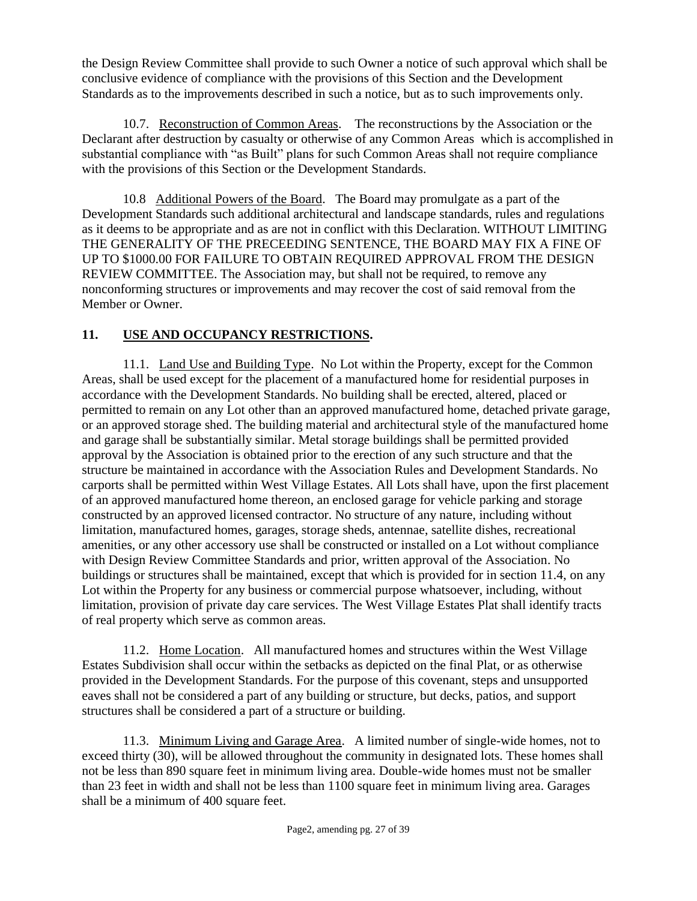the Design Review Committee shall provide to such Owner a notice of such approval which shall be conclusive evidence of compliance with the provisions of this Section and the Development Standards as to the improvements described in such a notice, but as to such improvements only.

10.7. Reconstruction of Common Areas. The reconstructions by the Association or the Declarant after destruction by casualty or otherwise of any Common Areas which is accomplished in substantial compliance with "as Built" plans for such Common Areas shall not require compliance with the provisions of this Section or the Development Standards.

10.8 Additional Powers of the Board. The Board may promulgate as a part of the Development Standards such additional architectural and landscape standards, rules and regulations as it deems to be appropriate and as are not in conflict with this Declaration. WITHOUT LIMITING THE GENERALITY OF THE PRECEEDING SENTENCE, THE BOARD MAY FIX A FINE OF UP TO \$1000.00 FOR FAILURE TO OBTAIN REQUIRED APPROVAL FROM THE DESIGN REVIEW COMMITTEE. The Association may, but shall not be required, to remove any nonconforming structures or improvements and may recover the cost of said removal from the Member or Owner.

#### **11. USE AND OCCUPANCY RESTRICTIONS.**

11.1. Land Use and Building Type. No Lot within the Property, except for the Common Areas, shall be used except for the placement of a manufactured home for residential purposes in accordance with the Development Standards. No building shall be erected, altered, placed or permitted to remain on any Lot other than an approved manufactured home, detached private garage, or an approved storage shed. The building material and architectural style of the manufactured home and garage shall be substantially similar. Metal storage buildings shall be permitted provided approval by the Association is obtained prior to the erection of any such structure and that the structure be maintained in accordance with the Association Rules and Development Standards. No carports shall be permitted within West Village Estates. All Lots shall have, upon the first placement of an approved manufactured home thereon, an enclosed garage for vehicle parking and storage constructed by an approved licensed contractor. No structure of any nature, including without limitation, manufactured homes, garages, storage sheds, antennae, satellite dishes, recreational amenities, or any other accessory use shall be constructed or installed on a Lot without compliance with Design Review Committee Standards and prior, written approval of the Association. No buildings or structures shall be maintained, except that which is provided for in section 11.4, on any Lot within the Property for any business or commercial purpose whatsoever, including, without limitation, provision of private day care services. The West Village Estates Plat shall identify tracts of real property which serve as common areas.

11.2. Home Location. All manufactured homes and structures within the West Village Estates Subdivision shall occur within the setbacks as depicted on the final Plat, or as otherwise provided in the Development Standards. For the purpose of this covenant, steps and unsupported eaves shall not be considered a part of any building or structure, but decks, patios, and support structures shall be considered a part of a structure or building.

11.3. Minimum Living and Garage Area. A limited number of single-wide homes, not to exceed thirty (30), will be allowed throughout the community in designated lots. These homes shall not be less than 890 square feet in minimum living area. Double-wide homes must not be smaller than 23 feet in width and shall not be less than 1100 square feet in minimum living area. Garages shall be a minimum of 400 square feet.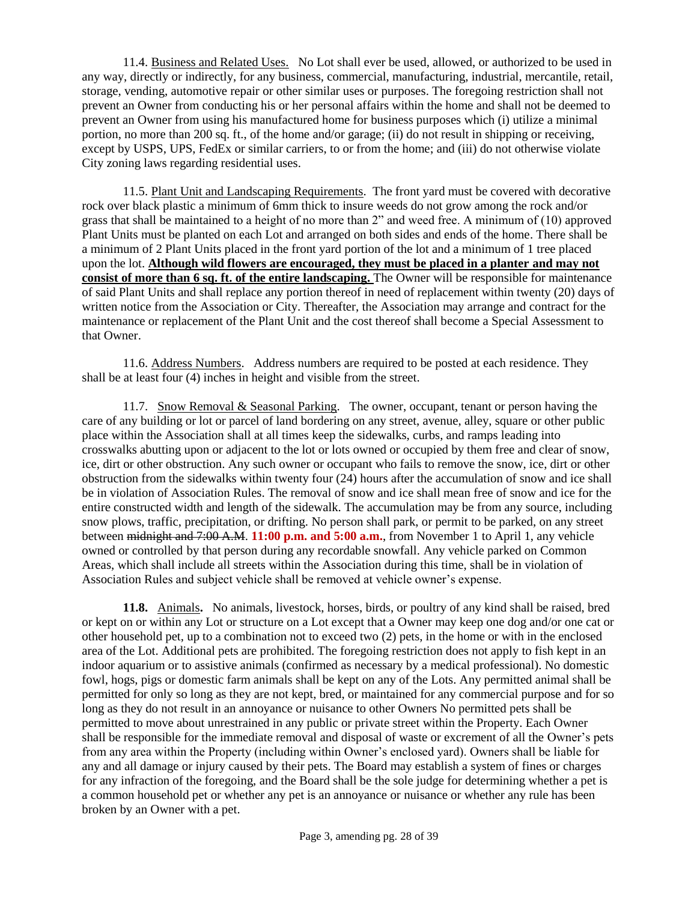11.4. Business and Related Uses. No Lot shall ever be used, allowed, or authorized to be used in any way, directly or indirectly, for any business, commercial, manufacturing, industrial, mercantile, retail, storage, vending, automotive repair or other similar uses or purposes. The foregoing restriction shall not prevent an Owner from conducting his or her personal affairs within the home and shall not be deemed to prevent an Owner from using his manufactured home for business purposes which (i) utilize a minimal portion, no more than 200 sq. ft., of the home and/or garage; (ii) do not result in shipping or receiving, except by USPS, UPS, FedEx or similar carriers, to or from the home; and (iii) do not otherwise violate City zoning laws regarding residential uses.

11.5. Plant Unit and Landscaping Requirements. The front yard must be covered with decorative rock over black plastic a minimum of 6mm thick to insure weeds do not grow among the rock and/or grass that shall be maintained to a height of no more than 2" and weed free. A minimum of (10) approved Plant Units must be planted on each Lot and arranged on both sides and ends of the home. There shall be a minimum of 2 Plant Units placed in the front yard portion of the lot and a minimum of 1 tree placed upon the lot. **Although wild flowers are encouraged, they must be placed in a planter and may not consist of more than 6 sq. ft. of the entire landscaping.** The Owner will be responsible for maintenance of said Plant Units and shall replace any portion thereof in need of replacement within twenty (20) days of written notice from the Association or City. Thereafter, the Association may arrange and contract for the maintenance or replacement of the Plant Unit and the cost thereof shall become a Special Assessment to that Owner.

11.6. Address Numbers. Address numbers are required to be posted at each residence. They shall be at least four (4) inches in height and visible from the street.

11.7. Snow Removal & Seasonal Parking. The owner, occupant, tenant or person having the care of any building or lot or parcel of land bordering on any street, avenue, alley, square or other public place within the Association shall at all times keep the sidewalks, curbs, and ramps leading into crosswalks abutting upon or adjacent to the lot or lots owned or occupied by them free and clear of snow, ice, dirt or other obstruction. Any such owner or occupant who fails to remove the snow, ice, dirt or other obstruction from the sidewalks within twenty four (24) hours after the accumulation of snow and ice shall be in violation of Association Rules. The removal of snow and ice shall mean free of snow and ice for the entire constructed width and length of the sidewalk. The accumulation may be from any source, including snow plows, traffic, precipitation, or drifting. No person shall park, or permit to be parked, on any street between midnight and 7:00 A.M. **11:00 p.m. and 5:00 a.m.**, from November 1 to April 1, any vehicle owned or controlled by that person during any recordable snowfall. Any vehicle parked on Common Areas, which shall include all streets within the Association during this time, shall be in violation of Association Rules and subject vehicle shall be removed at vehicle owner's expense.

**11.8.** Animals**.** No animals, livestock, horses, birds, or poultry of any kind shall be raised, bred or kept on or within any Lot or structure on a Lot except that a Owner may keep one dog and/or one cat or other household pet, up to a combination not to exceed two (2) pets, in the home or with in the enclosed area of the Lot. Additional pets are prohibited. The foregoing restriction does not apply to fish kept in an indoor aquarium or to assistive animals (confirmed as necessary by a medical professional). No domestic fowl, hogs, pigs or domestic farm animals shall be kept on any of the Lots. Any permitted animal shall be permitted for only so long as they are not kept, bred, or maintained for any commercial purpose and for so long as they do not result in an annoyance or nuisance to other Owners No permitted pets shall be permitted to move about unrestrained in any public or private street within the Property. Each Owner shall be responsible for the immediate removal and disposal of waste or excrement of all the Owner's pets from any area within the Property (including within Owner's enclosed yard). Owners shall be liable for any and all damage or injury caused by their pets. The Board may establish a system of fines or charges for any infraction of the foregoing, and the Board shall be the sole judge for determining whether a pet is a common household pet or whether any pet is an annoyance or nuisance or whether any rule has been broken by an Owner with a pet.

Page 3, amending pg. 28 of 39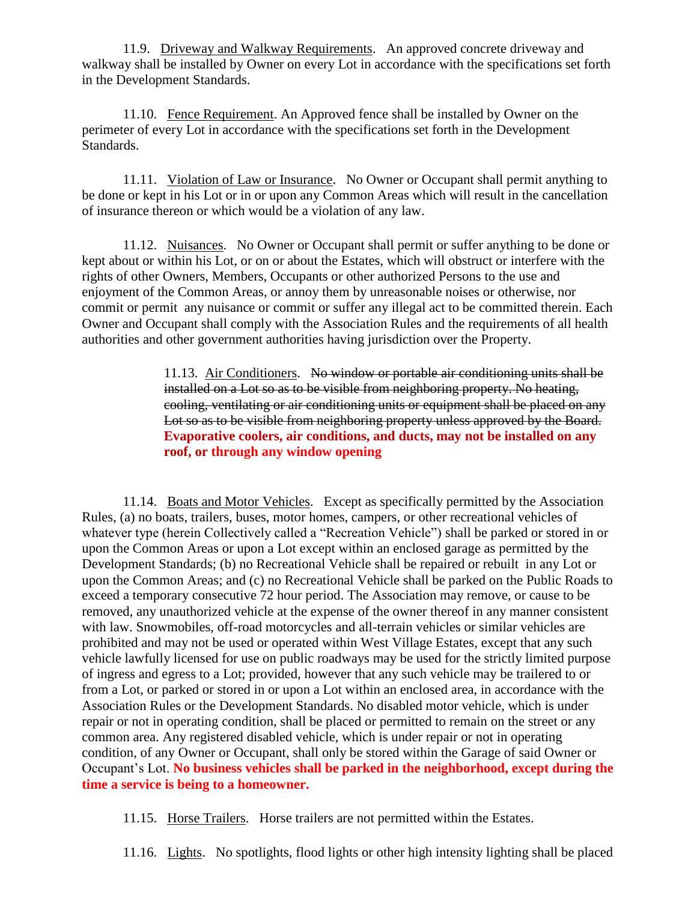11.9. Driveway and Walkway Requirements. An approved concrete driveway and walkway shall be installed by Owner on every Lot in accordance with the specifications set forth in the Development Standards.

11.10. Fence Requirement. An Approved fence shall be installed by Owner on the perimeter of every Lot in accordance with the specifications set forth in the Development Standards.

11.11. Violation of Law or Insurance. No Owner or Occupant shall permit anything to be done or kept in his Lot or in or upon any Common Areas which will result in the cancellation of insurance thereon or which would be a violation of any law.

11.12. Nuisances. No Owner or Occupant shall permit or suffer anything to be done or kept about or within his Lot, or on or about the Estates, which will obstruct or interfere with the rights of other Owners, Members, Occupants or other authorized Persons to the use and enjoyment of the Common Areas, or annoy them by unreasonable noises or otherwise, nor commit or permit any nuisance or commit or suffer any illegal act to be committed therein. Each Owner and Occupant shall comply with the Association Rules and the requirements of all health authorities and other government authorities having jurisdiction over the Property.

> 11.13. Air Conditioners. No window or portable air conditioning units shall be installed on a Lot so as to be visible from neighboring property. No heating, cooling, ventilating or air conditioning units or equipment shall be placed on any Lot so as to be visible from neighboring property unless approved by the Board. **Evaporative coolers, air conditions, and ducts, may not be installed on any roof, or through any window opening**

11.14. Boats and Motor Vehicles. Except as specifically permitted by the Association Rules, (a) no boats, trailers, buses, motor homes, campers, or other recreational vehicles of whatever type (herein Collectively called a "Recreation Vehicle") shall be parked or stored in or upon the Common Areas or upon a Lot except within an enclosed garage as permitted by the Development Standards; (b) no Recreational Vehicle shall be repaired or rebuilt in any Lot or upon the Common Areas; and (c) no Recreational Vehicle shall be parked on the Public Roads to exceed a temporary consecutive 72 hour period. The Association may remove, or cause to be removed, any unauthorized vehicle at the expense of the owner thereof in any manner consistent with law. Snowmobiles, off-road motorcycles and all-terrain vehicles or similar vehicles are prohibited and may not be used or operated within West Village Estates, except that any such vehicle lawfully licensed for use on public roadways may be used for the strictly limited purpose of ingress and egress to a Lot; provided, however that any such vehicle may be trailered to or from a Lot, or parked or stored in or upon a Lot within an enclosed area, in accordance with the Association Rules or the Development Standards. No disabled motor vehicle, which is under repair or not in operating condition, shall be placed or permitted to remain on the street or any common area. Any registered disabled vehicle, which is under repair or not in operating condition, of any Owner or Occupant, shall only be stored within the Garage of said Owner or Occupant's Lot. **No business vehicles shall be parked in the neighborhood, except during the time a service is being to a homeowner.**

11.15. Horse Trailers. Horse trailers are not permitted within the Estates.

11.16. Lights. No spotlights, flood lights or other high intensity lighting shall be placed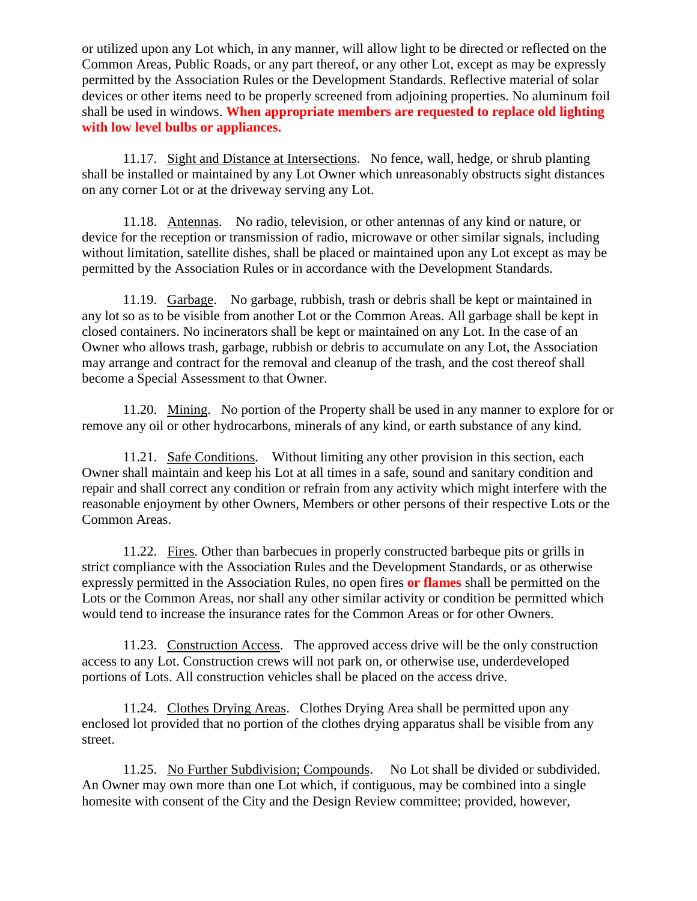or utilized upon any Lot which, in any manner, will allow light to be directed or reflected on the Common Areas, Public Roads, or any part thereof, or any other Lot, except as may be expressly permitted by the Association Rules or the Development Standards. Reflective material of solar devices or other items need to be properly screened from adjoining properties. No aluminum foil shall be used in windows. **When appropriate members are requested to replace old lighting with low level bulbs or appliances.**

11.17. Sight and Distance at Intersections. No fence, wall, hedge, or shrub planting shall be installed or maintained by any Lot Owner which unreasonably obstructs sight distances on any corner Lot or at the driveway serving any Lot.

11.18. Antennas. No radio, television, or other antennas of any kind or nature, or device for the reception or transmission of radio, microwave or other similar signals, including without limitation, satellite dishes, shall be placed or maintained upon any Lot except as may be permitted by the Association Rules or in accordance with the Development Standards.

11.19. Garbage. No garbage, rubbish, trash or debris shall be kept or maintained in any lot so as to be visible from another Lot or the Common Areas. All garbage shall be kept in closed containers. No incinerators shall be kept or maintained on any Lot. In the case of an Owner who allows trash, garbage, rubbish or debris to accumulate on any Lot, the Association may arrange and contract for the removal and cleanup of the trash, and the cost thereof shall become a Special Assessment to that Owner.

11.20. Mining. No portion of the Property shall be used in any manner to explore for or remove any oil or other hydrocarbons, minerals of any kind, or earth substance of any kind.

11.21. Safe Conditions. Without limiting any other provision in this section, each Owner shall maintain and keep his Lot at all times in a safe, sound and sanitary condition and repair and shall correct any condition or refrain from any activity which might interfere with the reasonable enjoyment by other Owners, Members or other persons of their respective Lots or the Common Areas.

11.22. Fires. Other than barbecues in properly constructed barbeque pits or grills in strict compliance with the Association Rules and the Development Standards, or as otherwise expressly permitted in the Association Rules, no open fires **or flames** shall be permitted on the Lots or the Common Areas, nor shall any other similar activity or condition be permitted which would tend to increase the insurance rates for the Common Areas or for other Owners.

11.23. Construction Access. The approved access drive will be the only construction access to any Lot. Construction crews will not park on, or otherwise use, underdeveloped portions of Lots. All construction vehicles shall be placed on the access drive.

11.24. Clothes Drying Areas. Clothes Drying Area shall be permitted upon any enclosed lot provided that no portion of the clothes drying apparatus shall be visible from any street.

11.25. No Further Subdivision; Compounds. No Lot shall be divided or subdivided. An Owner may own more than one Lot which, if contiguous, may be combined into a single homesite with consent of the City and the Design Review committee; provided, however,